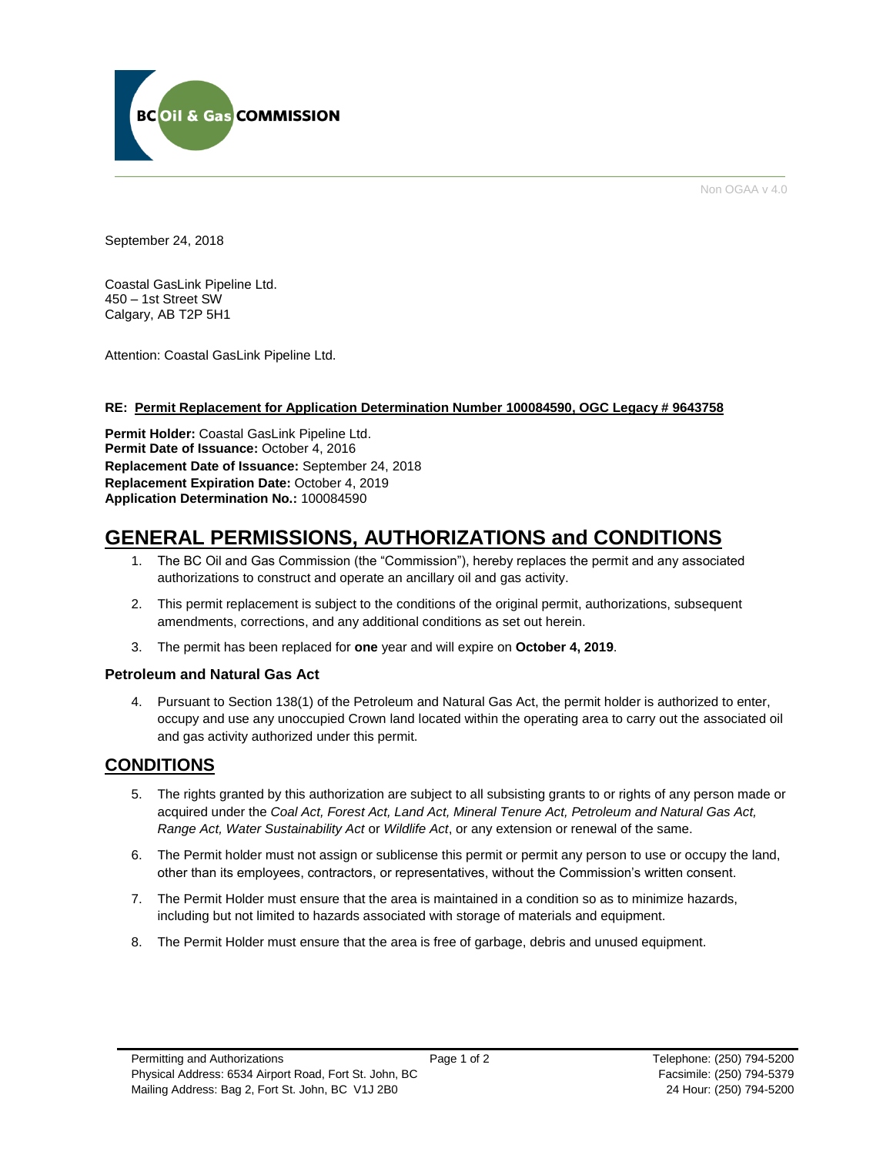

Non OGAA v 4.0

September 24, 2018

Coastal GasLink Pipeline Ltd. 450 – 1st Street SW Calgary, AB T2P 5H1

Attention: Coastal GasLink Pipeline Ltd.

#### **RE: Permit Replacement for Application Determination Number 100084590, OGC Legacy # 9643758**

**Permit Holder:** Coastal GasLink Pipeline Ltd. Permit Date of Issuance: October 4, 2016 **Replacement Date of Issuance:** September 24, 2018 **Replacement Expiration Date:** October 4, 2019 **Application Determination No.:** 100084590

# **GENERAL PERMISSIONS, AUTHORIZATIONS and CONDITIONS**

- 1. The BC Oil and Gas Commission (the "Commission"), hereby replaces the permit and any associated authorizations to construct and operate an ancillary oil and gas activity.
- 2. This permit replacement is subject to the conditions of the original permit, authorizations, subsequent amendments, corrections, and any additional conditions as set out herein.
- 3. The permit has been replaced for **one** year and will expire on **October 4, 2019**.

# **Petroleum and Natural Gas Act**

4. Pursuant to Section 138(1) of the Petroleum and Natural Gas Act, the permit holder is authorized to enter, occupy and use any unoccupied Crown land located within the operating area to carry out the associated oil and gas activity authorized under this permit.

# **CONDITIONS**

- 5. The rights granted by this authorization are subject to all subsisting grants to or rights of any person made or acquired under the *Coal Act, Forest Act, Land Act, Mineral Tenure Act, Petroleum and Natural Gas Act, Range Act, Water Sustainability Act* or *Wildlife Act*, or any extension or renewal of the same.
- 6. The Permit holder must not assign or sublicense this permit or permit any person to use or occupy the land, other than its employees, contractors, or representatives, without the Commission's written consent.
- 7. The Permit Holder must ensure that the area is maintained in a condition so as to minimize hazards, including but not limited to hazards associated with storage of materials and equipment.
- 8. The Permit Holder must ensure that the area is free of garbage, debris and unused equipment.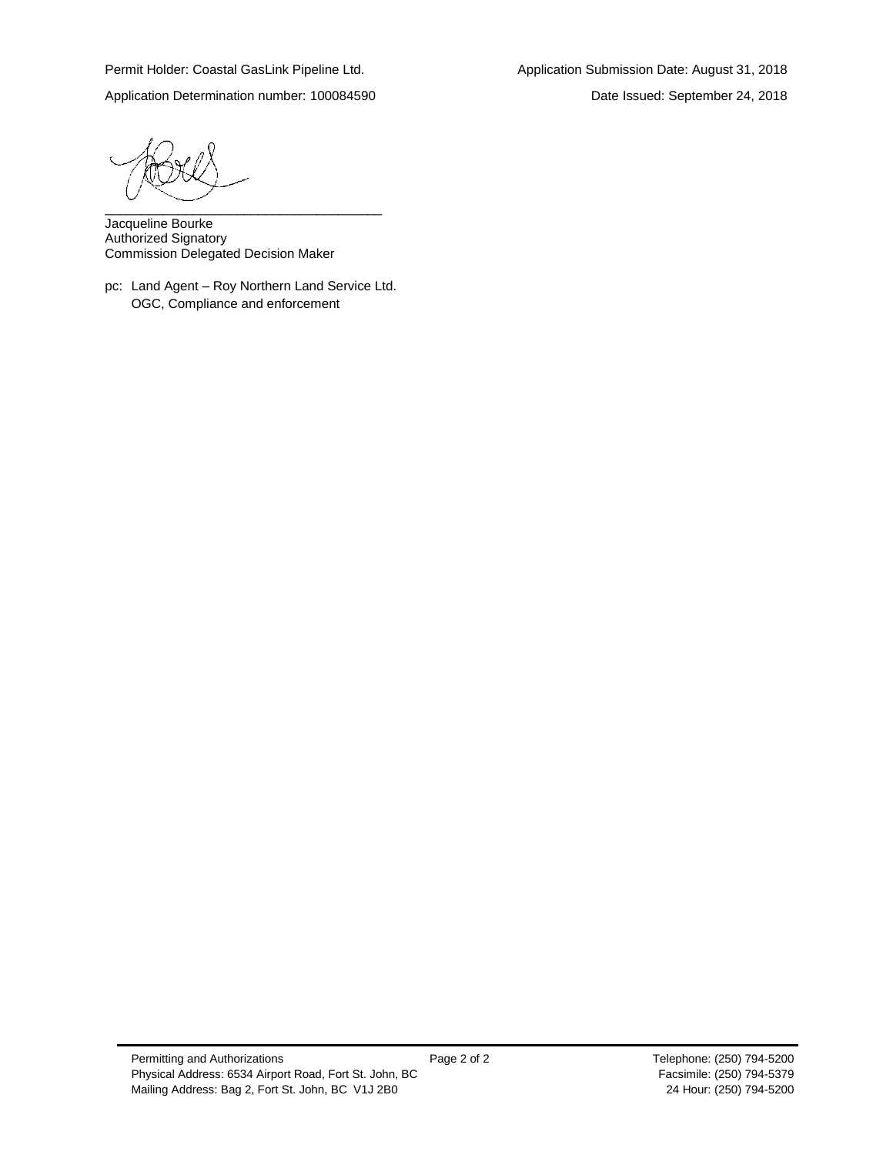Application Determination number: 100084590 Date Issued: September 24, 2018

\_\_\_\_\_\_\_\_\_\_\_\_\_\_\_\_\_\_\_\_\_\_\_\_\_\_\_\_\_\_\_\_\_\_\_\_\_\_

Jacqueline Bourke Authorized Signatory Commission Delegated Decision Maker

pc: Land Agent – Roy Northern Land Service Ltd. OGC, Compliance and enforcement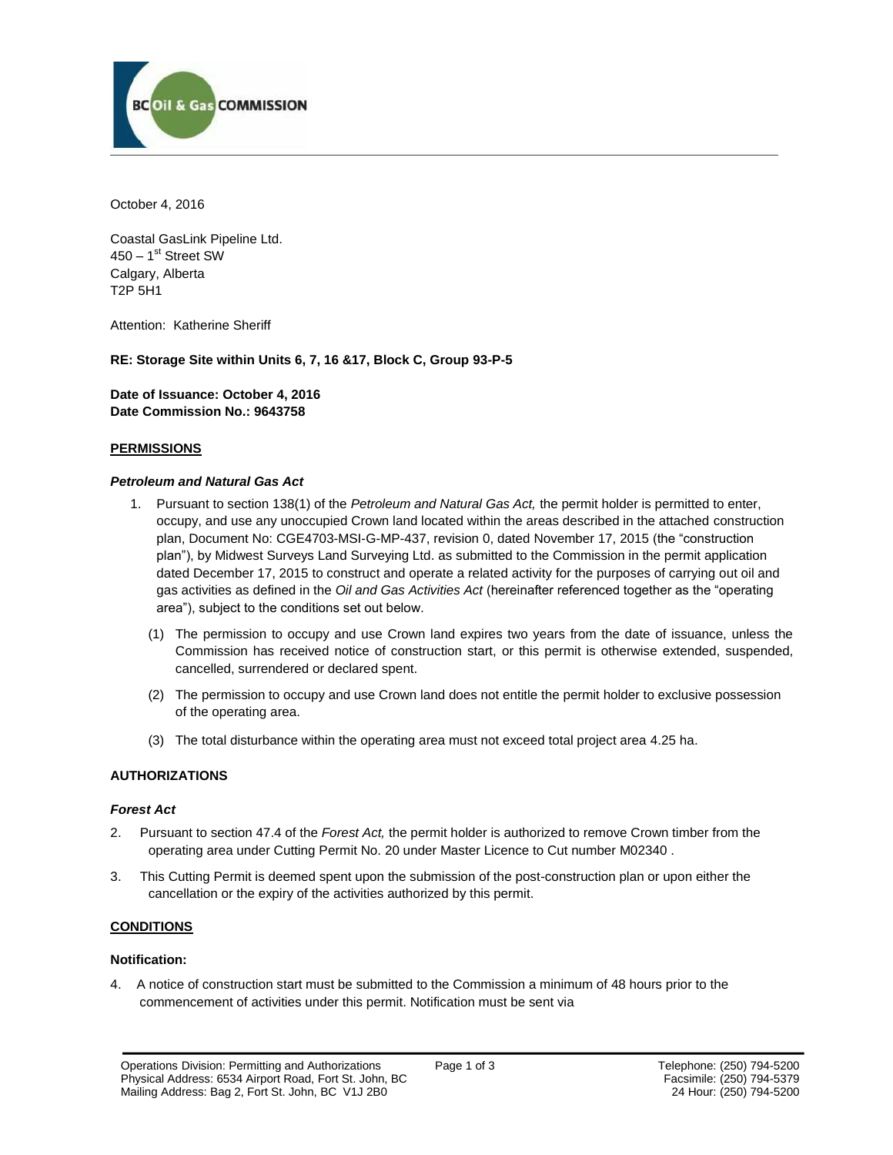

October 4, 2016

Coastal GasLink Pipeline Ltd. 450 – 1<sup>st</sup> Street SW Calgary, Alberta T2P 5H1

Attention: Katherine Sheriff

# **RE: Storage Site within Units 6, 7, 16 &17, Block C, Group 93-P-5**

**Date of Issuance: October 4, 2016 Date Commission No.: 9643758**

#### **PERMISSIONS**

#### *Petroleum and Natural Gas Act*

- 1. Pursuant to section 138(1) of the *Petroleum and Natural Gas Act,* the permit holder is permitted to enter, occupy, and use any unoccupied Crown land located within the areas described in the attached construction plan, Document No: CGE4703-MSI-G-MP-437, revision 0, dated November 17, 2015 (the "construction plan"), by Midwest Surveys Land Surveying Ltd. as submitted to the Commission in the permit application dated December 17, 2015 to construct and operate a related activity for the purposes of carrying out oil and gas activities as defined in the *Oil and Gas Activities Act* (hereinafter referenced together as the "operating area"), subject to the conditions set out below.
	- (1) The permission to occupy and use Crown land expires two years from the date of issuance, unless the Commission has received notice of construction start, or this permit is otherwise extended, suspended, cancelled, surrendered or declared spent.
	- (2) The permission to occupy and use Crown land does not entitle the permit holder to exclusive possession of the operating area.
	- (3) The total disturbance within the operating area must not exceed total project area 4.25 ha.

# **AUTHORIZATIONS**

#### *Forest Act*

- 2. Pursuant to section 47.4 of the *Forest Act,* the permit holder is authorized to remove Crown timber from the operating area under Cutting Permit No. 20 under Master Licence to Cut number M02340 .
- 3. This Cutting Permit is deemed spent upon the submission of the post-construction plan or upon either the cancellation or the expiry of the activities authorized by this permit.

# **CONDITIONS**

#### **Notification:**

4. A notice of construction start must be submitted to the Commission a minimum of 48 hours prior to the commencement of activities under this permit. Notification must be sent via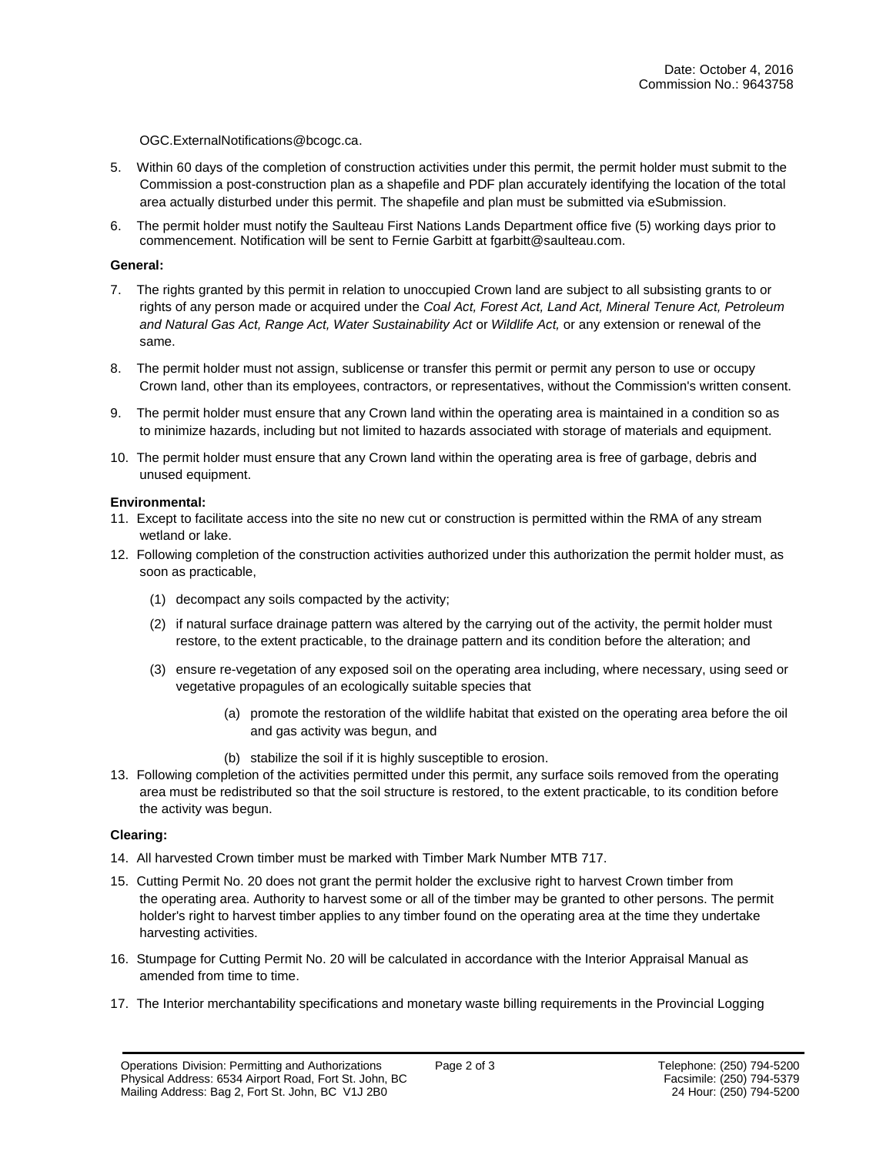[OGC.ExternalNotifications@bcogc.ca.](mailto:OGC.ExternalNotifications@bcogc.ca)

- 5. Within 60 days of the completion of construction activities under this permit, the permit holder must submit to the Commission a post-construction plan as a shapefile and PDF plan accurately identifying the location of the total area actually disturbed under this permit. The shapefile and plan must be submitted via eSubmission.
- 6. The permit holder must notify the Saulteau First Nations Lands Department office five (5) working days prior to commencement. Notification will be sent to Fernie Garbitt at fgarbitt@saulteau.com.

#### **General:**

- 7. The rights granted by this permit in relation to unoccupied Crown land are subject to all subsisting grants to or rights of any person made or acquired under the *Coal Act, Forest Act, Land Act, Mineral Tenure Act, Petroleum and Natural Gas Act, Range Act, Water Sustainability Act* or *Wildlife Act,* or any extension or renewal of the same.
- 8. The permit holder must not assign, sublicense or transfer this permit or permit any person to use or occupy Crown land, other than its employees, contractors, or representatives, without the Commission's written consent.
- 9. The permit holder must ensure that any Crown land within the operating area is maintained in a condition so as to minimize hazards, including but not limited to hazards associated with storage of materials and equipment.
- 10. The permit holder must ensure that any Crown land within the operating area is free of garbage, debris and unused equipment.

#### **Environmental:**

- 11. Except to facilitate access into the site no new cut or construction is permitted within the RMA of any stream wetland or lake.
- 12. Following completion of the construction activities authorized under this authorization the permit holder must, as soon as practicable,
	- (1) decompact any soils compacted by the activity;
	- (2) if natural surface drainage pattern was altered by the carrying out of the activity, the permit holder must restore, to the extent practicable, to the drainage pattern and its condition before the alteration; and
	- (3) ensure re-vegetation of any exposed soil on the operating area including, where necessary, using seed or vegetative propagules of an ecologically suitable species that
		- (a) promote the restoration of the wildlife habitat that existed on the operating area before the oil and gas activity was begun, and
		- (b) stabilize the soil if it is highly susceptible to erosion.
- 13. Following completion of the activities permitted under this permit, any surface soils removed from the operating area must be redistributed so that the soil structure is restored, to the extent practicable, to its condition before the activity was begun.

#### **Clearing:**

- 14. All harvested Crown timber must be marked with Timber Mark Number MTB 717.
- 15. Cutting Permit No. 20 does not grant the permit holder the exclusive right to harvest Crown timber from the operating area. Authority to harvest some or all of the timber may be granted to other persons. The permit holder's right to harvest timber applies to any timber found on the operating area at the time they undertake harvesting activities.
- 16. Stumpage for Cutting Permit No. 20 will be calculated in accordance with the Interior Appraisal Manual as amended from time to time.
- 17. The Interior merchantability specifications and monetary waste billing requirements in the Provincial Logging